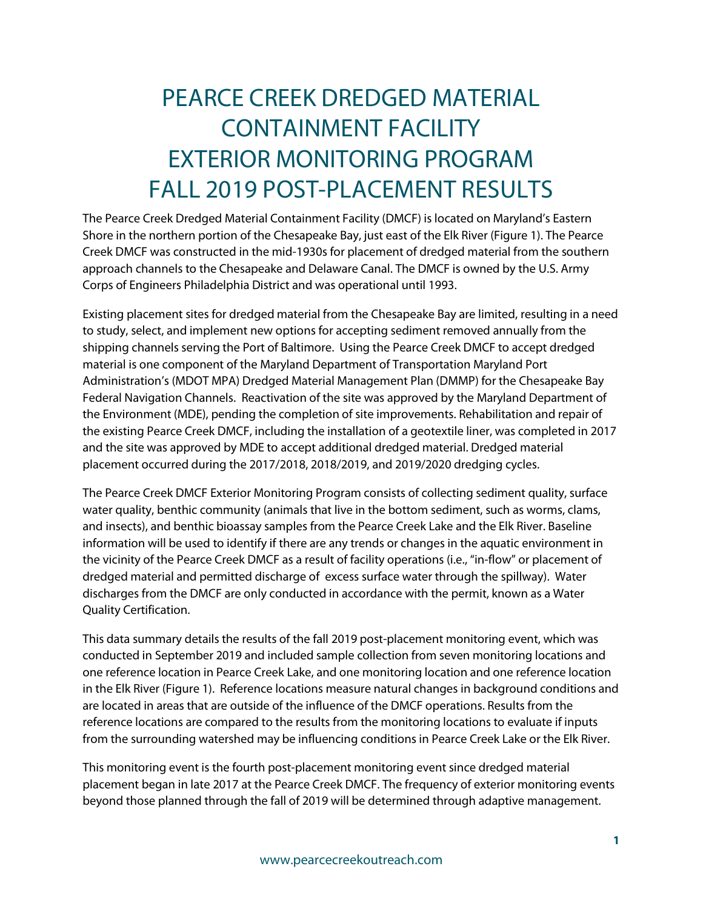# PEARCE CREEK DREDGED MATERIAL CONTAINMENT FACILITY EXTERIOR MONITORING PROGRAM FALL 2019 POST-PLACEMENT RESULTS

The Pearce Creek Dredged Material Containment Facility (DMCF) is located on Maryland's Eastern Shore in the northern portion of the Chesapeake Bay, just east of the Elk River (Figure 1). The Pearce Creek DMCF was constructed in the mid-1930s for placement of dredged material from the southern approach channels to the Chesapeake and Delaware Canal. The DMCF is owned by the U.S. Army Corps of Engineers Philadelphia District and was operational until 1993.

Existing placement sites for dredged material from the Chesapeake Bay are limited, resulting in a need to study, select, and implement new options for accepting sediment removed annually from the shipping channels serving the Port of Baltimore. Using the Pearce Creek DMCF to accept dredged material is one component of the Maryland Department of Transportation Maryland Port Administration's (MDOT MPA) Dredged Material Management Plan (DMMP) for the Chesapeake Bay Federal Navigation Channels. Reactivation of the site was approved by the Maryland Department of the Environment (MDE), pending the completion of site improvements. Rehabilitation and repair of the existing Pearce Creek DMCF, including the installation of a geotextile liner, was completed in 2017 and the site was approved by MDE to accept additional dredged material. Dredged material placement occurred during the 2017/2018, 2018/2019, and 2019/2020 dredging cycles.

The Pearce Creek DMCF Exterior Monitoring Program consists of collecting sediment quality, surface water quality, benthic community (animals that live in the bottom sediment, such as worms, clams, and insects), and benthic bioassay samples from the Pearce Creek Lake and the Elk River. Baseline information will be used to identify if there are any trends or changes in the aquatic environment in the vicinity of the Pearce Creek DMCF as a result of facility operations (i.e., "in-flow" or placement of dredged material and permitted discharge of excess surface water through the spillway). Water discharges from the DMCF are only conducted in accordance with the permit, known as a Water Quality Certification.

This data summary details the results of the fall 2019 post-placement monitoring event, which was conducted in September 2019 and included sample collection from seven monitoring locations and one reference location in Pearce Creek Lake, and one monitoring location and one reference location in the Elk River (Figure 1). Reference locations measure natural changes in background conditions and are located in areas that are outside of the influence of the DMCF operations. Results from the reference locations are compared to the results from the monitoring locations to evaluate if inputs from the surrounding watershed may be influencing conditions in Pearce Creek Lake or the Elk River.

This monitoring event is the fourth post-placement monitoring event since dredged material placement began in late 2017 at the Pearce Creek DMCF. The frequency of exterior monitoring events beyond those planned through the fall of 2019 will be determined through adaptive management.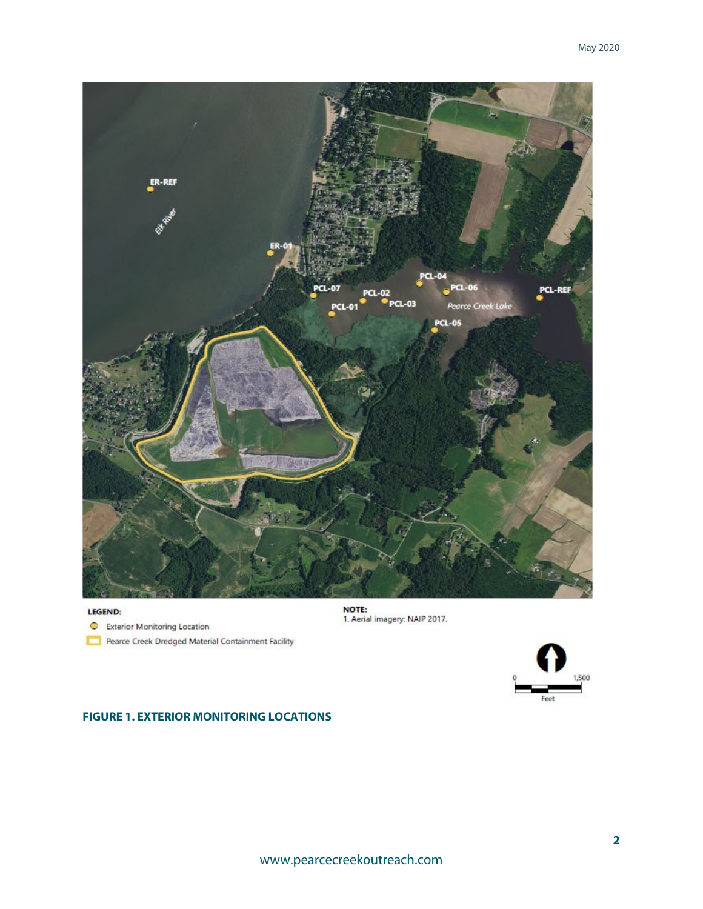

#### LEGEND:

Exterior Monitoring Location

Pearce Creek Dredged Material Containment Facility





#### **FIGURE 1. EXTERIOR MONITORING LOCATIONS**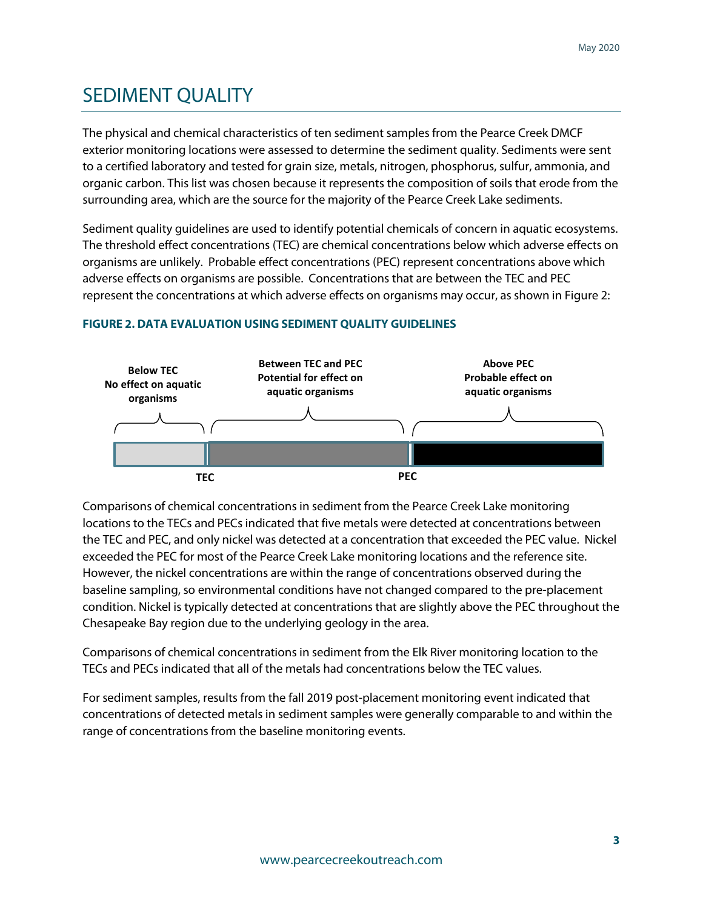### SEDIMENT QUALITY

The physical and chemical characteristics of ten sediment samples from the Pearce Creek DMCF exterior monitoring locations were assessed to determine the sediment quality. Sediments were sent to a certified laboratory and tested for grain size, metals, nitrogen, phosphorus, sulfur, ammonia, and organic carbon. This list was chosen because it represents the composition of soils that erode from the surrounding area, which are the source for the majority of the Pearce Creek Lake sediments.

Sediment quality guidelines are used to identify potential chemicals of concern in aquatic ecosystems. The threshold effect concentrations (TEC) are chemical concentrations below which adverse effects on organisms are unlikely. Probable effect concentrations (PEC) represent concentrations above which adverse effects on organisms are possible. Concentrations that are between the TEC and PEC represent the concentrations at which adverse effects on organisms may occur, as shown in Figure 2:



#### **FIGURE 2. DATA EVALUATION USING SEDIMENT QUALITY GUIDELINES**

Comparisons of chemical concentrations in sediment from the Pearce Creek Lake monitoring locations to the TECs and PECs indicated that five metals were detected at concentrations between the TEC and PEC, and only nickel was detected at a concentration that exceeded the PEC value. Nickel exceeded the PEC for most of the Pearce Creek Lake monitoring locations and the reference site. However, the nickel concentrations are within the range of concentrations observed during the baseline sampling, so environmental conditions have not changed compared to the pre-placement condition. Nickel is typically detected at concentrations that are slightly above the PEC throughout the Chesapeake Bay region due to the underlying geology in the area.

Comparisons of chemical concentrations in sediment from the Elk River monitoring location to the TECs and PECs indicated that all of the metals had concentrations below the TEC values.

For sediment samples, results from the fall 2019 post-placement monitoring event indicated that concentrations of detected metals in sediment samples were generally comparable to and within the range of concentrations from the baseline monitoring events.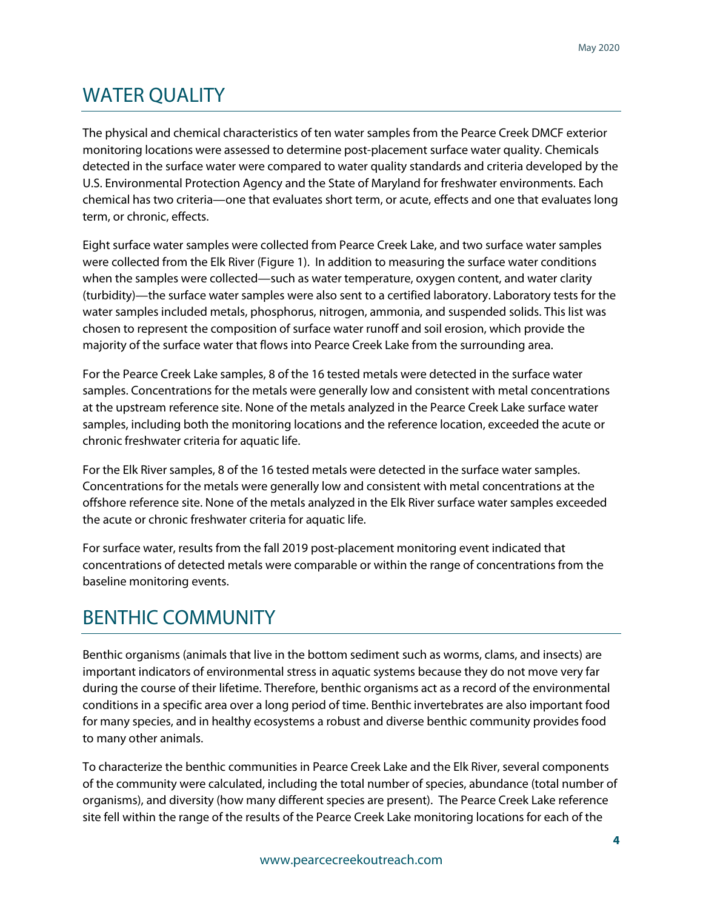# WATER QUALITY

The physical and chemical characteristics of ten water samples from the Pearce Creek DMCF exterior monitoring locations were assessed to determine post-placement surface water quality. Chemicals detected in the surface water were compared to water quality standards and criteria developed by the U.S. Environmental Protection Agency and the State of Maryland for freshwater environments. Each chemical has two criteria—one that evaluates short term, or acute, effects and one that evaluates long term, or chronic, effects.

Eight surface water samples were collected from Pearce Creek Lake, and two surface water samples were collected from the Elk River (Figure 1). In addition to measuring the surface water conditions when the samples were collected—such as water temperature, oxygen content, and water clarity (turbidity)—the surface water samples were also sent to a certified laboratory. Laboratory tests for the water samples included metals, phosphorus, nitrogen, ammonia, and suspended solids. This list was chosen to represent the composition of surface water runoff and soil erosion, which provide the majority of the surface water that flows into Pearce Creek Lake from the surrounding area.

For the Pearce Creek Lake samples, 8 of the 16 tested metals were detected in the surface water samples. Concentrations for the metals were generally low and consistent with metal concentrations at the upstream reference site. None of the metals analyzed in the Pearce Creek Lake surface water samples, including both the monitoring locations and the reference location, exceeded the acute or chronic freshwater criteria for aquatic life.

For the Elk River samples, 8 of the 16 tested metals were detected in the surface water samples. Concentrations for the metals were generally low and consistent with metal concentrations at the offshore reference site. None of the metals analyzed in the Elk River surface water samples exceeded the acute or chronic freshwater criteria for aquatic life.

For surface water, results from the fall 2019 post-placement monitoring event indicated that concentrations of detected metals were comparable or within the range of concentrations from the baseline monitoring events.

## BENTHIC COMMUNITY

Benthic organisms (animals that live in the bottom sediment such as worms, clams, and insects) are important indicators of environmental stress in aquatic systems because they do not move very far during the course of their lifetime. Therefore, benthic organisms act as a record of the environmental conditions in a specific area over a long period of time. Benthic invertebrates are also important food for many species, and in healthy ecosystems a robust and diverse benthic community provides food to many other animals.

To characterize the benthic communities in Pearce Creek Lake and the Elk River, several components of the community were calculated, including the total number of species, abundance (total number of organisms), and diversity (how many different species are present). The Pearce Creek Lake reference site fell within the range of the results of the Pearce Creek Lake monitoring locations for each of the